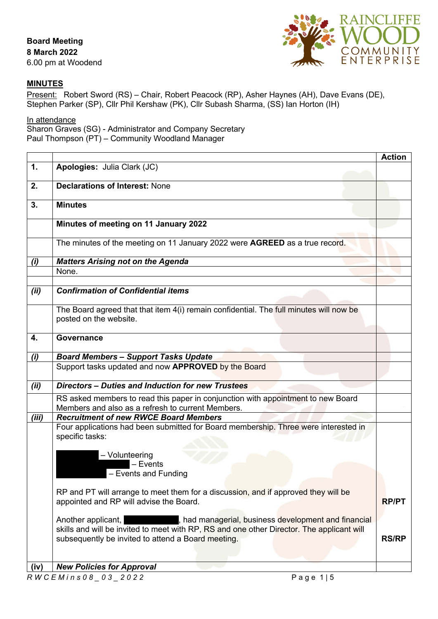

## **MINUTES**

Present: Robert Sword (RS) – Chair, Robert Peacock (RP), Asher Haynes (AH), Dave Evans (DE), Stephen Parker (SP), Cllr Phil Kershaw (PK), Cllr Subash Sharma, (SS) Ian Horton (IH)

## In attendance

Sharon Graves (SG) - Administrator and Company Secretary Paul Thompson (PT) – Community Woodland Manager

|       |                                                                                                                                                                                                                               | <b>Action</b> |
|-------|-------------------------------------------------------------------------------------------------------------------------------------------------------------------------------------------------------------------------------|---------------|
| 1.    | Apologies: Julia Clark (JC)                                                                                                                                                                                                   |               |
| 2.    | <b>Declarations of Interest: None</b>                                                                                                                                                                                         |               |
| 3.    | <b>Minutes</b>                                                                                                                                                                                                                |               |
|       | Minutes of meeting on 11 January 2022                                                                                                                                                                                         |               |
|       | The minutes of the meeting on 11 January 2022 were AGREED as a true record.                                                                                                                                                   |               |
| (i)   | <b>Matters Arising not on the Agenda</b>                                                                                                                                                                                      |               |
|       | None.                                                                                                                                                                                                                         |               |
|       |                                                                                                                                                                                                                               |               |
| (ii)  | <b>Confirmation of Confidential items</b>                                                                                                                                                                                     |               |
|       | The Board agreed that that item 4(i) remain confidential. The full minutes will now be<br>posted on the website.                                                                                                              |               |
| 4.    | <b>Governance</b>                                                                                                                                                                                                             |               |
| (i)   | <b>Board Members - Support Tasks Update</b>                                                                                                                                                                                   |               |
|       | Support tasks updated and now APPROVED by the Board                                                                                                                                                                           |               |
| (ii)  | Directors - Duties and Induction for new Trustees                                                                                                                                                                             |               |
|       | RS asked members to read this paper in conjunction with appointment to new Board<br>Members and also as a refresh to current Members.                                                                                         |               |
| (iii) | <b>Recruitment of new RWCE Board Members</b>                                                                                                                                                                                  |               |
|       | Four applications had been submitted for Board membership. Three were interested in<br>specific tasks:                                                                                                                        |               |
|       | - Volunteering<br>$-$ Events                                                                                                                                                                                                  |               |
|       | - Events and Funding                                                                                                                                                                                                          |               |
|       | RP and PT will arrange to meet them for a discussion, and if approved they will be<br>appointed and RP will advise the Board.                                                                                                 | <b>RP/PT</b>  |
|       | Another applicant,<br>, had managerial, business development and financial<br>skills and will be invited to meet with RP, RS and one other Director. The applicant will<br>subsequently be invited to attend a Board meeting. | <b>RS/RP</b>  |
|       |                                                                                                                                                                                                                               |               |
| (iv)  | <b>New Policies for Approval</b>                                                                                                                                                                                              |               |
|       | RWCEMins08 03 2022<br>Page $1 5$                                                                                                                                                                                              |               |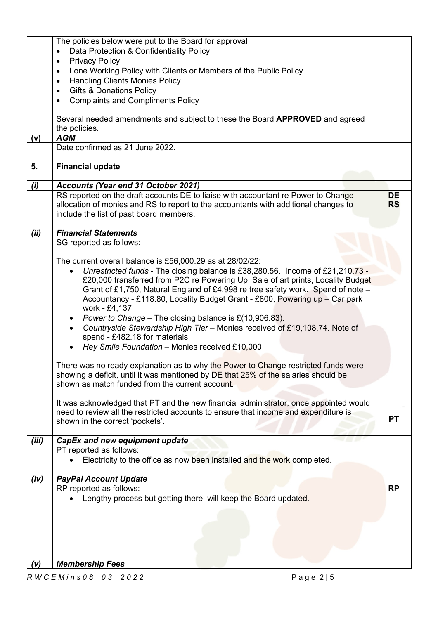| (v)   | <b>Membership Fees</b>                                                                                                                                                                                                                                                                                                                                                                            |                        |
|-------|---------------------------------------------------------------------------------------------------------------------------------------------------------------------------------------------------------------------------------------------------------------------------------------------------------------------------------------------------------------------------------------------------|------------------------|
|       |                                                                                                                                                                                                                                                                                                                                                                                                   |                        |
|       | Lengthy process but getting there, will keep the Board updated.                                                                                                                                                                                                                                                                                                                                   |                        |
| (iv)  | <b>PayPal Account Update</b><br>RP reported as follows:                                                                                                                                                                                                                                                                                                                                           | <b>RP</b>              |
|       | PT reported as follows:<br>Electricity to the office as now been installed and the work completed.                                                                                                                                                                                                                                                                                                |                        |
| (iii) | CapEx and new equipment update                                                                                                                                                                                                                                                                                                                                                                    |                        |
|       | It was acknowledged that PT and the new financial administrator, once appointed would<br>need to review all the restricted accounts to ensure that income and expenditure is<br>shown in the correct 'pockets'.                                                                                                                                                                                   | <b>PT</b>              |
|       | There was no ready explanation as to why the Power to Change restricted funds were<br>showing a deficit, until it was mentioned by DE that 25% of the salaries should be<br>shown as match funded from the current account.                                                                                                                                                                       |                        |
|       | work - £4,137<br>Power to Change – The closing balance is $£(10,906.83).$<br>Countryside Stewardship High Tier - Monies received of £19,108.74. Note of<br>$\bullet$<br>spend - £482.18 for materials<br>Hey Smile Foundation - Monies received £10,000                                                                                                                                           |                        |
|       | The current overall balance is £56,000.29 as at 28/02/22:<br>Unrestricted funds - The closing balance is £38,280.56. Income of £21,210.73 -<br>£20,000 transferred from P2C re Powering Up, Sale of art prints, Locality Budget<br>Grant of £1,750, Natural England of £4,998 re tree safety work. Spend of note -<br>Accountancy - £118.80, Locality Budget Grant - £800, Powering up - Car park |                        |
|       | SG reported as follows:                                                                                                                                                                                                                                                                                                                                                                           |                        |
| (ii)  | <b>Financial Statements</b>                                                                                                                                                                                                                                                                                                                                                                       |                        |
|       | RS reported on the draft accounts DE to liaise with accountant re Power to Change<br>allocation of monies and RS to report to the accountants with additional changes to<br>include the list of past board members.                                                                                                                                                                               | <b>DE</b><br><b>RS</b> |
| (i)   | <b>Accounts (Year end 31 October 2021)</b>                                                                                                                                                                                                                                                                                                                                                        |                        |
| 5.    | <b>Financial update</b>                                                                                                                                                                                                                                                                                                                                                                           |                        |
|       | Date confirmed as 21 June 2022.                                                                                                                                                                                                                                                                                                                                                                   |                        |
| (v)   | the policies.<br><b>AGM</b>                                                                                                                                                                                                                                                                                                                                                                       |                        |
|       | Several needed amendments and subject to these the Board APPROVED and agreed                                                                                                                                                                                                                                                                                                                      |                        |
|       | <b>Gifts &amp; Donations Policy</b><br>$\bullet$<br><b>Complaints and Compliments Policy</b><br>$\bullet$                                                                                                                                                                                                                                                                                         |                        |
|       | $\bullet$<br><b>Handling Clients Monies Policy</b><br>$\bullet$                                                                                                                                                                                                                                                                                                                                   |                        |
|       | <b>Privacy Policy</b><br>$\bullet$<br>Lone Working Policy with Clients or Members of the Public Policy                                                                                                                                                                                                                                                                                            |                        |
|       | The policies below were put to the Board for approval<br>Data Protection & Confidentiality Policy<br>$\bullet$                                                                                                                                                                                                                                                                                    |                        |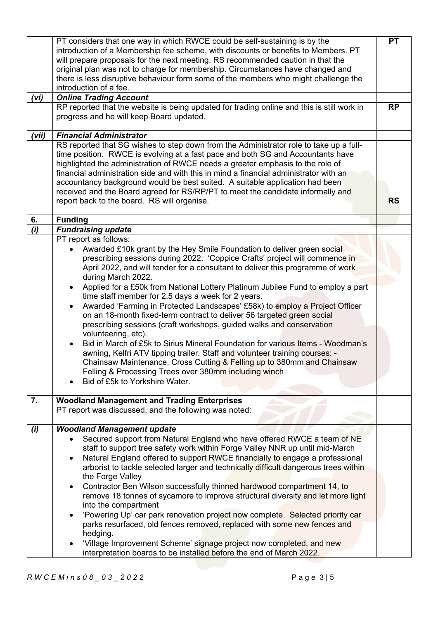|       | PT considers that one way in which RWCE could be self-sustaining is by the                 | <b>PT</b> |
|-------|--------------------------------------------------------------------------------------------|-----------|
|       | introduction of a Membership fee scheme, with discounts or benefits to Members. PT         |           |
|       | will prepare proposals for the next meeting. RS recommended caution in that the            |           |
|       | original plan was not to charge for membership. Circumstances have changed and             |           |
|       | there is less disruptive behaviour form some of the members who might challenge the        |           |
|       | introduction of a fee.                                                                     |           |
| (vi)  | <b>Online Trading Account</b>                                                              |           |
|       | RP reported that the website is being updated for trading online and this is still work in | <b>RP</b> |
|       | progress and he will keep Board updated.                                                   |           |
|       |                                                                                            |           |
| 'vii) | <b>Financial Administrator</b>                                                             |           |
|       | RS reported that SG wishes to step down from the Administrator role to take up a full-     |           |
|       | time position. RWCE is evolving at a fast pace and both SG and Accountants have            |           |
|       | highlighted the administration of RWCE needs a greater emphasis to the role of             |           |
|       | financial administration side and with this in mind a financial administrator with an      |           |
|       | accountancy background would be best suited. A suitable application had been               |           |
|       | received and the Board agreed for RS/RP/PT to meet the candidate informally and            |           |
|       |                                                                                            |           |
|       | report back to the board. RS will organise.                                                | <b>RS</b> |
| 6.    | <b>Funding</b>                                                                             |           |
| (i)   | <b>Fundraising update</b>                                                                  |           |
|       | PT report as follows:                                                                      |           |
|       |                                                                                            |           |
|       | Awarded £10k grant by the Hey Smile Foundation to deliver green social                     |           |
|       | prescribing sessions during 2022. 'Coppice Crafts' project will commence in                |           |
|       | April 2022, and will tender for a consultant to deliver this programme of work             |           |
|       | during March 2022.                                                                         |           |
|       | Applied for a £50k from National Lottery Platinum Jubilee Fund to employ a part            |           |
|       | time staff member for 2.5 days a week for 2 years.                                         |           |
|       | Awarded 'Farming in Protected Landscapes' £58k) to employ a Project Officer                |           |
|       | on an 18-month fixed-term contract to deliver 56 targeted green social                     |           |
|       | prescribing sessions (craft workshops, guided walks and conservation                       |           |
|       | volunteering, etc).                                                                        |           |
|       | Bid in March of £5k to Sirius Mineral Foundation for various Items - Woodman's             |           |
|       |                                                                                            |           |
|       | awning, Kelfri ATV tipping trailer. Staff and volunteer training courses: -                |           |
|       | Chainsaw Maintenance, Cross Cutting & Felling up to 380mm and Chainsaw                     |           |
|       | Felling & Processing Trees over 380mm including winch                                      |           |
|       | Bid of £5k to Yorkshire Water.                                                             |           |
|       |                                                                                            |           |
| 7.    | <b>Woodland Management and Trading Enterprises</b>                                         |           |
|       | PT report was discussed, and the following was noted:                                      |           |
|       | <b>Woodland Management update</b>                                                          |           |
| (i)   |                                                                                            |           |
|       | Secured support from Natural England who have offered RWCE a team of NE                    |           |
|       | staff to support tree safety work within Forge Valley NNR up until mid-March               |           |
|       | Natural England offered to support RWCE financially to engage a professional               |           |
|       | arborist to tackle selected larger and technically difficult dangerous trees within        |           |
|       | the Forge Valley                                                                           |           |
|       | Contractor Ben Wilson successfully thinned hardwood compartment 14, to                     |           |
|       | remove 18 tonnes of sycamore to improve structural diversity and let more light            |           |
|       | into the compartment                                                                       |           |
|       |                                                                                            |           |
|       | 'Powering Up' car park renovation project now complete. Selected priority car              |           |
|       | parks resurfaced, old fences removed, replaced with some new fences and                    |           |
|       | hedging.                                                                                   |           |
|       | 'Village Improvement Scheme' signage project now completed, and new                        |           |
|       | interpretation boards to be installed before the end of March 2022.                        |           |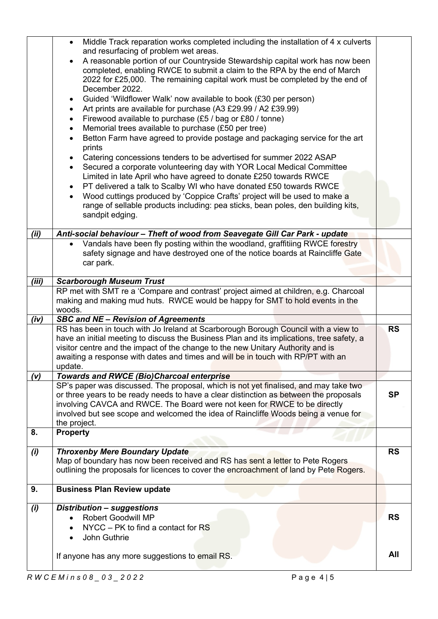|       | Middle Track reparation works completed including the installation of 4 x culverts<br>$\bullet$<br>and resurfacing of problem wet areas.<br>A reasonable portion of our Countryside Stewardship capital work has now been<br>completed, enabling RWCE to submit a claim to the RPA by the end of March                                                            |           |
|-------|-------------------------------------------------------------------------------------------------------------------------------------------------------------------------------------------------------------------------------------------------------------------------------------------------------------------------------------------------------------------|-----------|
|       | 2022 for £25,000. The remaining capital work must be completed by the end of<br>December 2022.<br>Guided 'Wildflower Walk' now available to book (£30 per person)<br>$\bullet$                                                                                                                                                                                    |           |
|       | Art prints are available for purchase (A3 £29.99 / A2 £39.99)<br>$\bullet$<br>Firewood available to purchase (£5 / bag or £80 / tonne)<br>$\bullet$<br>Memorial trees available to purchase (£50 per tree)<br>$\bullet$<br>Betton Farm have agreed to provide postage and packaging service for the art                                                           |           |
|       | $\bullet$<br>prints<br>Catering concessions tenders to be advertised for summer 2022 ASAP                                                                                                                                                                                                                                                                         |           |
|       | Secured a corporate volunteering day with YOR Local Medical Committee<br>$\bullet$<br>Limited in late April who have agreed to donate £250 towards RWCE                                                                                                                                                                                                           |           |
|       | PT delivered a talk to Scalby WI who have donated £50 towards RWCE<br>Wood cuttings produced by 'Coppice Crafts' project will be used to make a<br>$\bullet$<br>range of sellable products including: pea sticks, bean poles, den building kits,<br>sandpit edging.                                                                                               |           |
| (ii)  | Anti-social behaviour - Theft of wood from Seavegate Gill Car Park - update                                                                                                                                                                                                                                                                                       |           |
|       | Vandals have been fly posting within the woodland, graffitiing RWCE forestry<br>safety signage and have destroyed one of the notice boards at Raincliffe Gate<br>car park.                                                                                                                                                                                        |           |
| (iii) | <b>Scarborough Museum Trust</b>                                                                                                                                                                                                                                                                                                                                   |           |
|       | RP met with SMT re a 'Compare and contrast' project aimed at children, e.g. Charcoal<br>making and making mud huts. RWCE would be happy for SMT to hold events in the<br>woods.                                                                                                                                                                                   |           |
| (iv)  | <b>SBC and NE - Revision of Agreements</b>                                                                                                                                                                                                                                                                                                                        |           |
|       | RS has been in touch with Jo Ireland at Scarborough Borough Council with a view to<br>have an initial meeting to discuss the Business Plan and its implications, tree safety, a<br>visitor centre and the impact of the change to the new Unitary Authority and is<br>awaiting a response with dates and times and will be in touch with RP/PT with an<br>update. | <b>RS</b> |
| (v)   | <b>Towards and RWCE (Bio)Charcoal enterprise</b>                                                                                                                                                                                                                                                                                                                  |           |
|       | SP's paper was discussed. The proposal, which is not yet finalised, and may take two<br>or three years to be ready needs to have a clear distinction as between the proposals<br>involving CAVCA and RWCE. The Board were not keen for RWCE to be directly<br>involved but see scope and welcomed the idea of Raincliffe Woods being a venue for<br>the project.  | <b>SP</b> |
| 8.    | <b>Property</b>                                                                                                                                                                                                                                                                                                                                                   |           |
| (i)   | <b>Throxenby Mere Boundary Update</b><br>Map of boundary has now been received and RS has sent a letter to Pete Rogers<br>outlining the proposals for licences to cover the encroachment of land by Pete Rogers.                                                                                                                                                  | <b>RS</b> |
| 9.    | <b>Business Plan Review update</b>                                                                                                                                                                                                                                                                                                                                |           |
| (i)   | Distribution - suggestions<br><b>Robert Goodwill MP</b><br>$\bullet$<br>NYCC - PK to find a contact for RS<br>John Guthrie                                                                                                                                                                                                                                        | <b>RS</b> |
|       | If anyone has any more suggestions to email RS.                                                                                                                                                                                                                                                                                                                   | All       |